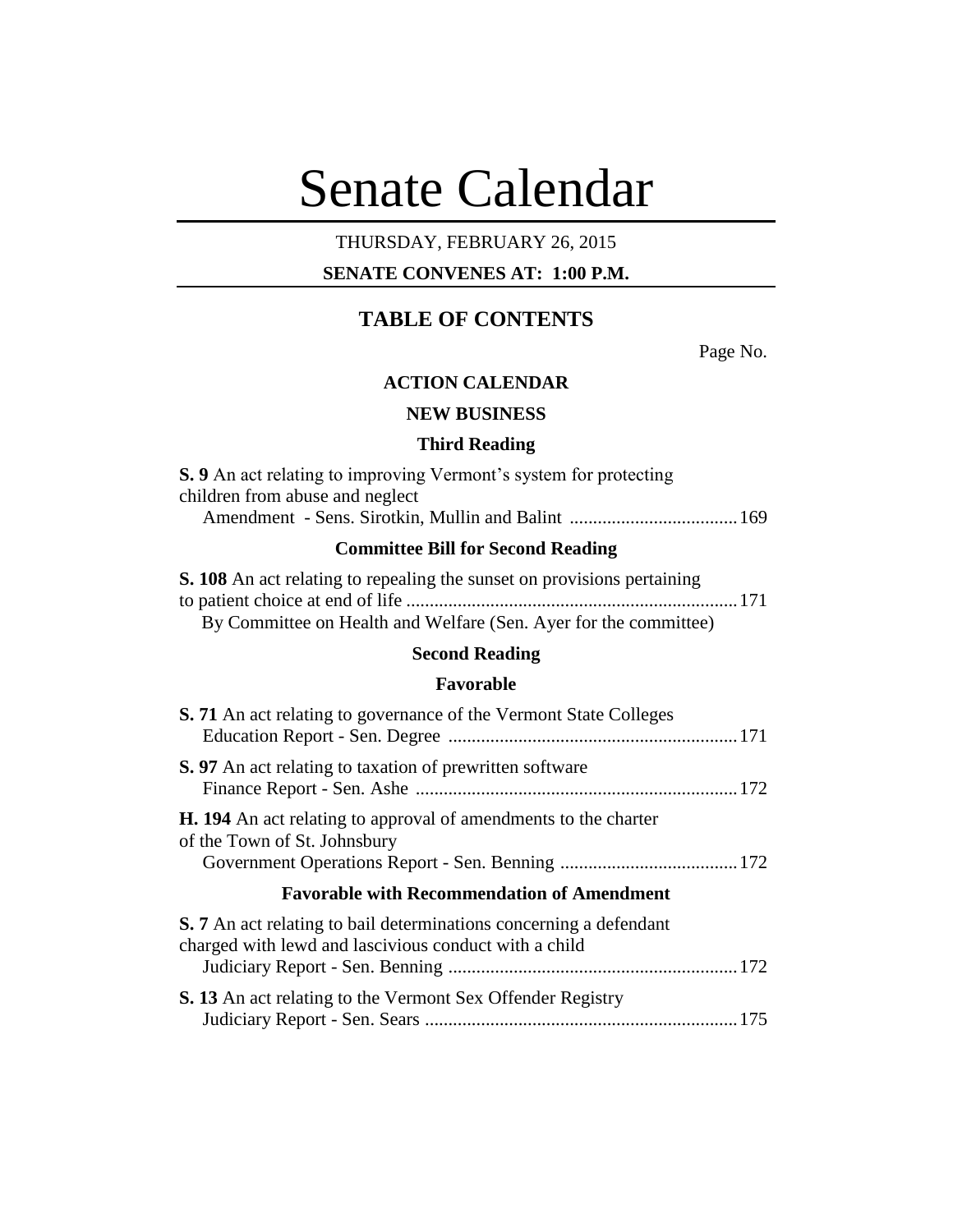# Senate Calendar

# THURSDAY, FEBRUARY 26, 2015

# **SENATE CONVENES AT: 1:00 P.M.**

# **TABLE OF CONTENTS**

Page No.

## **ACTION CALENDAR**

# **NEW BUSINESS**

#### **Third Reading**

| <b>S.</b> 9 An act relating to improving Vermont's system for protecting |  |
|--------------------------------------------------------------------------|--|
| children from abuse and neglect                                          |  |
|                                                                          |  |

# **Committee Bill for Second Reading**

| <b>S. 108</b> An act relating to repealing the sunset on provisions pertaining |  |
|--------------------------------------------------------------------------------|--|
|                                                                                |  |
| By Committee on Health and Welfare (Sen. Ayer for the committee)               |  |

# **Second Reading**

#### **Favorable**

| S. 71 An act relating to governance of the Vermont State Colleges                                                                  |  |
|------------------------------------------------------------------------------------------------------------------------------------|--|
| <b>S.</b> 97 An act relating to taxation of prewritten software                                                                    |  |
| <b>H. 194</b> An act relating to approval of amendments to the charter<br>of the Town of St. Johnsbury                             |  |
| <b>Favorable with Recommendation of Amendment</b>                                                                                  |  |
| <b>S.</b> 7 An act relating to bail determinations concerning a defendant<br>charged with lewd and lascivious conduct with a child |  |
| <b>S. 13</b> An act relating to the Vermont Sex Offender Registry                                                                  |  |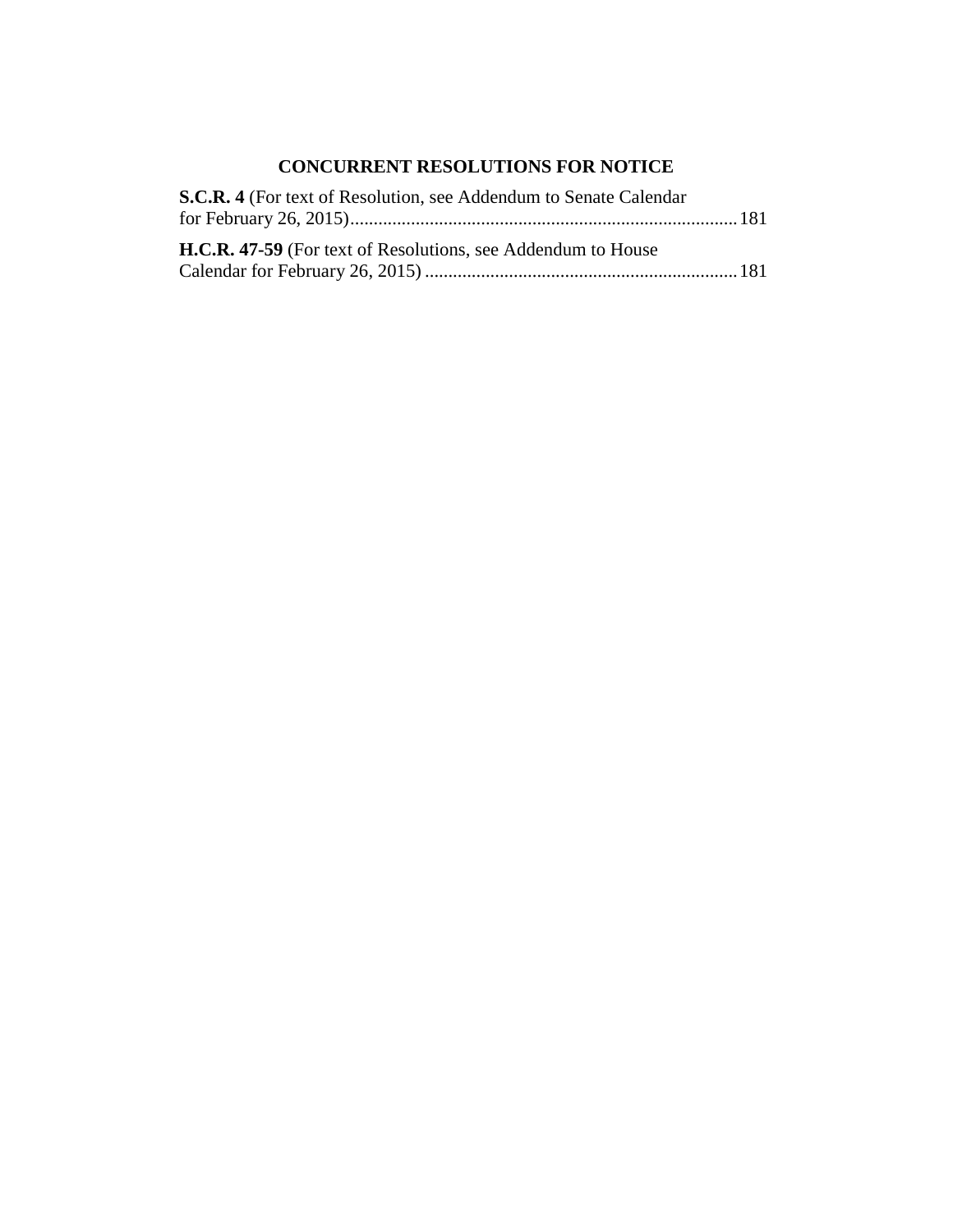# **CONCURRENT RESOLUTIONS FOR NOTICE**

| S.C.R. 4 (For text of Resolution, see Addendum to Senate Calendar   |  |
|---------------------------------------------------------------------|--|
|                                                                     |  |
| <b>H.C.R. 47-59</b> (For text of Resolutions, see Addendum to House |  |
|                                                                     |  |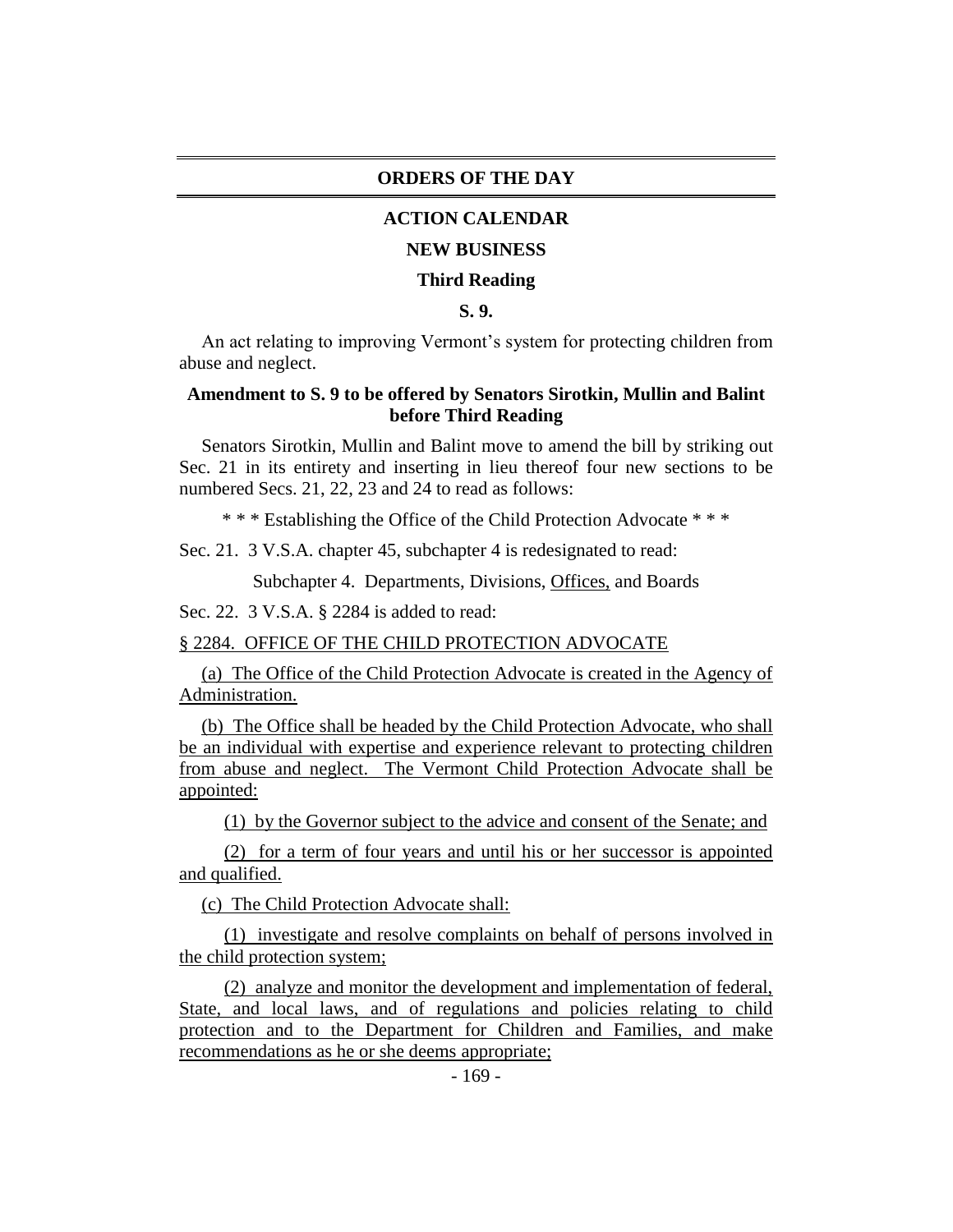#### **ORDERS OF THE DAY**

### **ACTION CALENDAR**

#### **NEW BUSINESS**

#### **Third Reading**

## **S. 9.**

An act relating to improving Vermont's system for protecting children from abuse and neglect.

#### **Amendment to S. 9 to be offered by Senators Sirotkin, Mullin and Balint before Third Reading**

Senators Sirotkin, Mullin and Balint move to amend the bill by striking out Sec. 21 in its entirety and inserting in lieu thereof four new sections to be numbered Secs. 21, 22, 23 and 24 to read as follows:

\* \* \* Establishing the Office of the Child Protection Advocate \* \* \*

Sec. 21. 3 V.S.A. chapter 45, subchapter 4 is redesignated to read:

Subchapter 4. Departments, Divisions, Offices, and Boards

Sec. 22. 3 V.S.A. § 2284 is added to read:

#### § 2284. OFFICE OF THE CHILD PROTECTION ADVOCATE

(a) The Office of the Child Protection Advocate is created in the Agency of Administration.

(b) The Office shall be headed by the Child Protection Advocate, who shall be an individual with expertise and experience relevant to protecting children from abuse and neglect. The Vermont Child Protection Advocate shall be appointed:

(1) by the Governor subject to the advice and consent of the Senate; and

(2) for a term of four years and until his or her successor is appointed and qualified.

(c) The Child Protection Advocate shall:

(1) investigate and resolve complaints on behalf of persons involved in the child protection system;

(2) analyze and monitor the development and implementation of federal, State, and local laws, and of regulations and policies relating to child protection and to the Department for Children and Families, and make recommendations as he or she deems appropriate;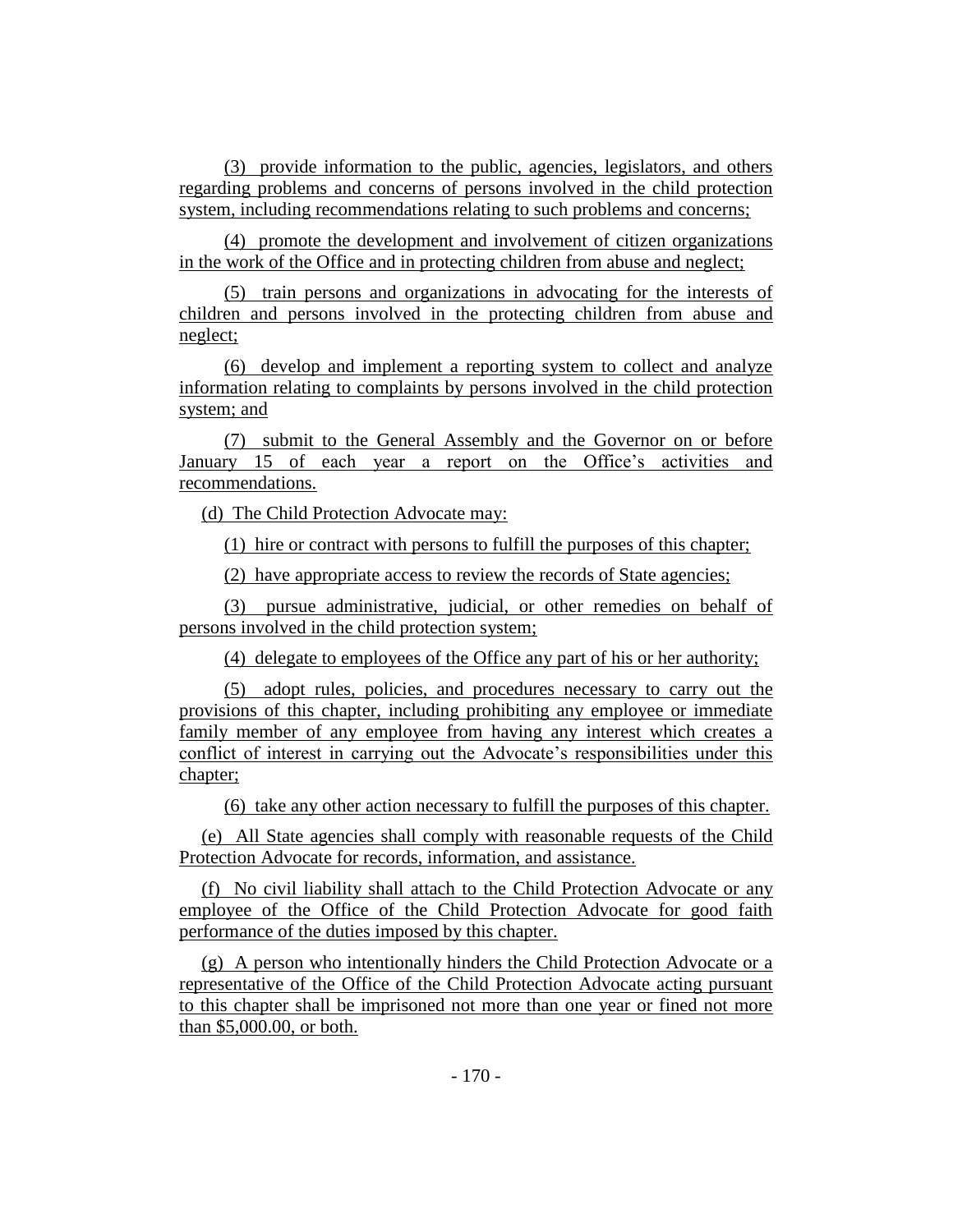(3) provide information to the public, agencies, legislators, and others regarding problems and concerns of persons involved in the child protection system, including recommendations relating to such problems and concerns;

(4) promote the development and involvement of citizen organizations in the work of the Office and in protecting children from abuse and neglect;

(5) train persons and organizations in advocating for the interests of children and persons involved in the protecting children from abuse and neglect;

(6) develop and implement a reporting system to collect and analyze information relating to complaints by persons involved in the child protection system; and

(7) submit to the General Assembly and the Governor on or before January 15 of each year a report on the Office's activities and recommendations.

(d) The Child Protection Advocate may:

(1) hire or contract with persons to fulfill the purposes of this chapter;

(2) have appropriate access to review the records of State agencies;

(3) pursue administrative, judicial, or other remedies on behalf of persons involved in the child protection system;

(4) delegate to employees of the Office any part of his or her authority;

(5) adopt rules, policies, and procedures necessary to carry out the provisions of this chapter, including prohibiting any employee or immediate family member of any employee from having any interest which creates a conflict of interest in carrying out the Advocate's responsibilities under this chapter;

(6) take any other action necessary to fulfill the purposes of this chapter.

(e) All State agencies shall comply with reasonable requests of the Child Protection Advocate for records, information, and assistance.

(f) No civil liability shall attach to the Child Protection Advocate or any employee of the Office of the Child Protection Advocate for good faith performance of the duties imposed by this chapter.

(g) A person who intentionally hinders the Child Protection Advocate or a representative of the Office of the Child Protection Advocate acting pursuant to this chapter shall be imprisoned not more than one year or fined not more than \$5,000.00, or both.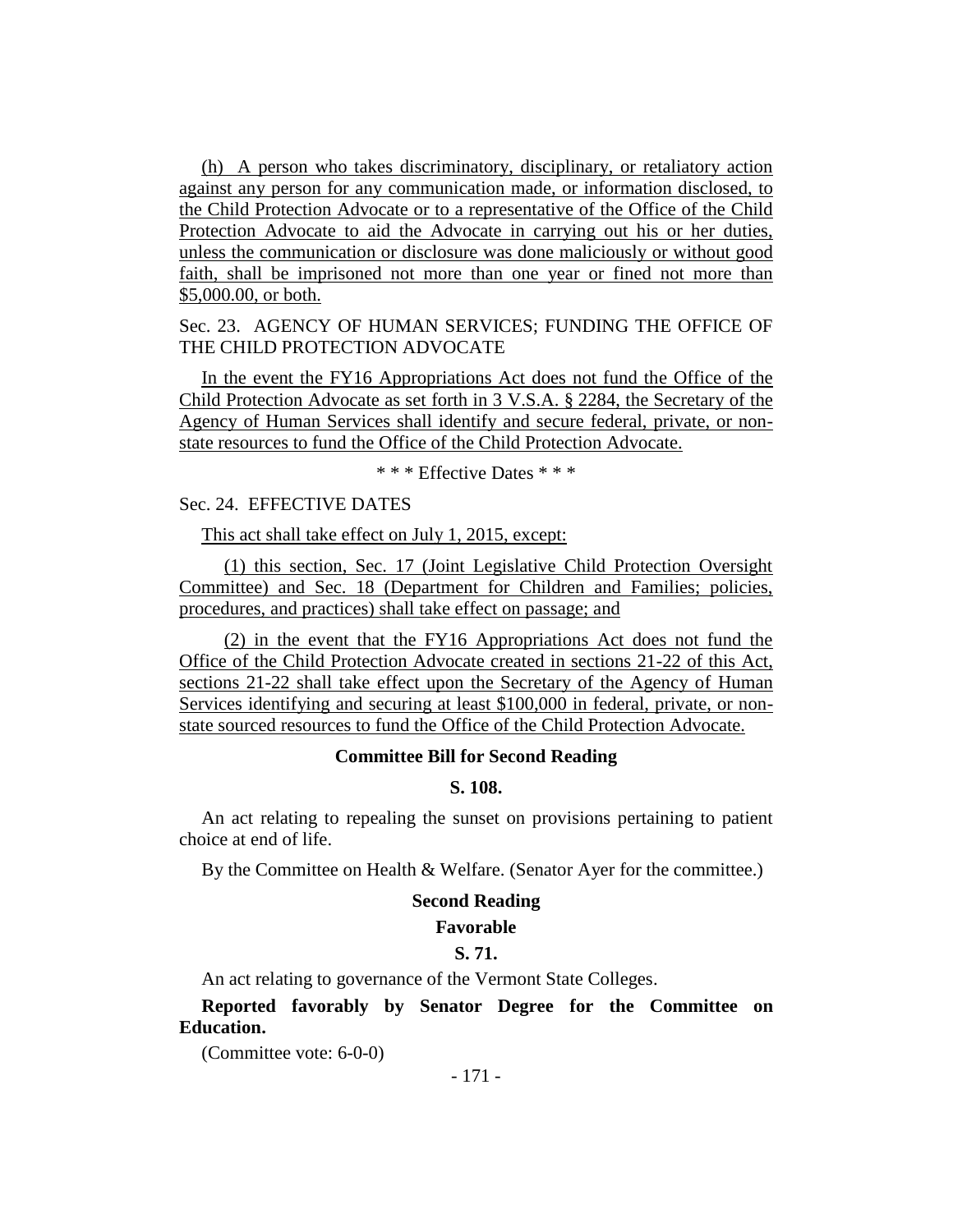(h) A person who takes discriminatory, disciplinary, or retaliatory action against any person for any communication made, or information disclosed, to the Child Protection Advocate or to a representative of the Office of the Child Protection Advocate to aid the Advocate in carrying out his or her duties, unless the communication or disclosure was done maliciously or without good faith, shall be imprisoned not more than one year or fined not more than \$5,000.00, or both.

# Sec. 23. AGENCY OF HUMAN SERVICES; FUNDING THE OFFICE OF THE CHILD PROTECTION ADVOCATE

In the event the FY16 Appropriations Act does not fund the Office of the Child Protection Advocate as set forth in 3 V.S.A. § 2284, the Secretary of the Agency of Human Services shall identify and secure federal, private, or nonstate resources to fund the Office of the Child Protection Advocate.

\* \* \* Effective Dates \* \* \*

# Sec. 24. EFFECTIVE DATES

This act shall take effect on July 1, 2015, except:

(1) this section, Sec. 17 (Joint Legislative Child Protection Oversight Committee) and Sec. 18 (Department for Children and Families; policies, procedures, and practices) shall take effect on passage; and

(2) in the event that the FY16 Appropriations Act does not fund the Office of the Child Protection Advocate created in sections 21-22 of this Act, sections 21-22 shall take effect upon the Secretary of the Agency of Human Services identifying and securing at least \$100,000 in federal, private, or nonstate sourced resources to fund the Office of the Child Protection Advocate.

#### **Committee Bill for Second Reading**

# **S. 108.**

An act relating to repealing the sunset on provisions pertaining to patient choice at end of life.

By the Committee on Health & Welfare. (Senator Ayer for the committee.)

#### **Second Reading**

# **Favorable**

# **S. 71.**

An act relating to governance of the Vermont State Colleges.

**Reported favorably by Senator Degree for the Committee on Education.**

(Committee vote: 6-0-0)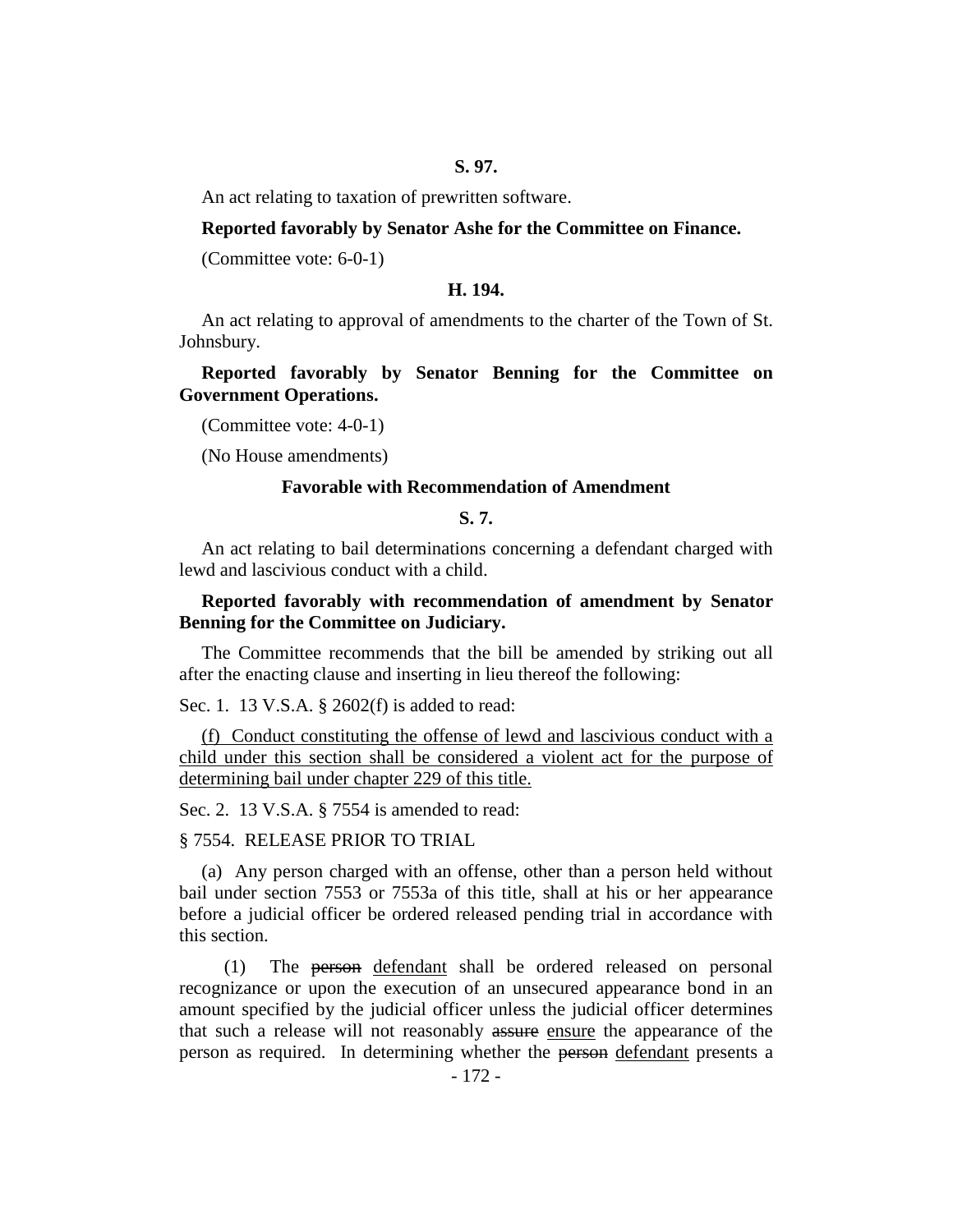#### **S. 97.**

An act relating to taxation of prewritten software.

#### **Reported favorably by Senator Ashe for the Committee on Finance.**

(Committee vote: 6-0-1)

#### **H. 194.**

An act relating to approval of amendments to the charter of the Town of St. Johnsbury.

## **Reported favorably by Senator Benning for the Committee on Government Operations.**

(Committee vote: 4-0-1)

(No House amendments)

#### **Favorable with Recommendation of Amendment**

# **S. 7.**

An act relating to bail determinations concerning a defendant charged with lewd and lascivious conduct with a child.

## **Reported favorably with recommendation of amendment by Senator Benning for the Committee on Judiciary.**

The Committee recommends that the bill be amended by striking out all after the enacting clause and inserting in lieu thereof the following:

Sec. 1. 13 V.S.A. § 2602(f) is added to read:

(f) Conduct constituting the offense of lewd and lascivious conduct with a child under this section shall be considered a violent act for the purpose of determining bail under chapter 229 of this title.

Sec. 2. 13 V.S.A. § 7554 is amended to read:

#### § 7554. RELEASE PRIOR TO TRIAL

(a) Any person charged with an offense, other than a person held without bail under section 7553 or 7553a of this title, shall at his or her appearance before a judicial officer be ordered released pending trial in accordance with this section.

(1) The person defendant shall be ordered released on personal recognizance or upon the execution of an unsecured appearance bond in an amount specified by the judicial officer unless the judicial officer determines that such a release will not reasonably assure ensure the appearance of the person as required. In determining whether the person defendant presents a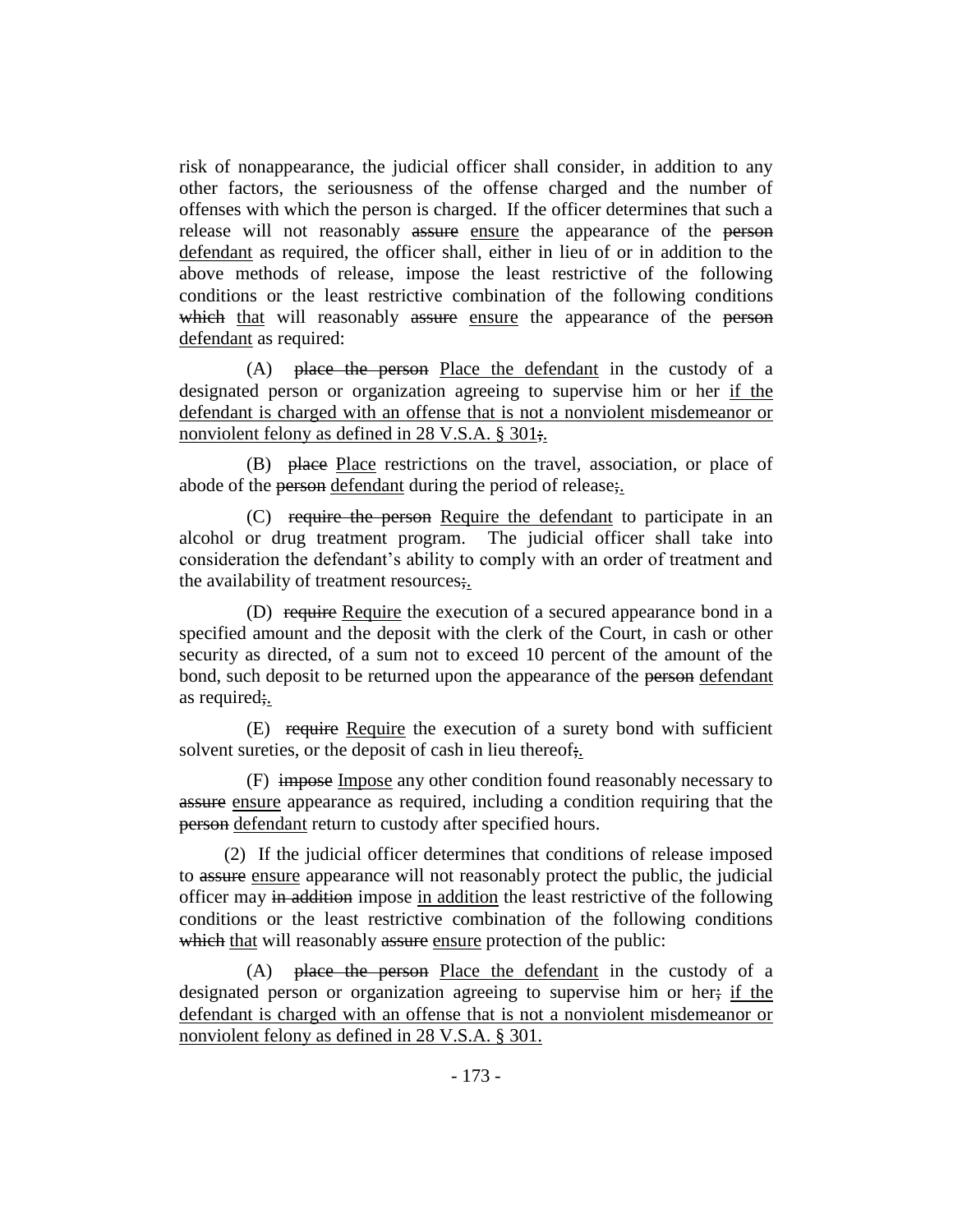risk of nonappearance, the judicial officer shall consider, in addition to any other factors, the seriousness of the offense charged and the number of offenses with which the person is charged. If the officer determines that such a release will not reasonably assure ensure the appearance of the person defendant as required, the officer shall, either in lieu of or in addition to the above methods of release, impose the least restrictive of the following conditions or the least restrictive combination of the following conditions which that will reasonably assure ensure the appearance of the person defendant as required:

(A) place the person Place the defendant in the custody of a designated person or organization agreeing to supervise him or her if the defendant is charged with an offense that is not a nonviolent misdemeanor or nonviolent felony as defined in 28 V.S.A. § 301;.

(B) place Place restrictions on the travel, association, or place of abode of the person defendant during the period of release;

(C) require the person Require the defendant to participate in an alcohol or drug treatment program. The judicial officer shall take into consideration the defendant's ability to comply with an order of treatment and the availability of treatment resources;.

(D) require Require the execution of a secured appearance bond in a specified amount and the deposit with the clerk of the Court, in cash or other security as directed, of a sum not to exceed 10 percent of the amount of the bond, such deposit to be returned upon the appearance of the person defendant as required;.

(E) require Require the execution of a surety bond with sufficient solvent sureties, or the deposit of cash in lieu thereof.

(F) impose Impose any other condition found reasonably necessary to assure ensure appearance as required, including a condition requiring that the person defendant return to custody after specified hours.

(2) If the judicial officer determines that conditions of release imposed to assure ensure appearance will not reasonably protect the public, the judicial officer may in addition impose in addition the least restrictive of the following conditions or the least restrictive combination of the following conditions which that will reasonably assure ensure protection of the public:

(A) place the person Place the defendant in the custody of a designated person or organization agreeing to supervise him or her; if the defendant is charged with an offense that is not a nonviolent misdemeanor or nonviolent felony as defined in 28 V.S.A. § 301.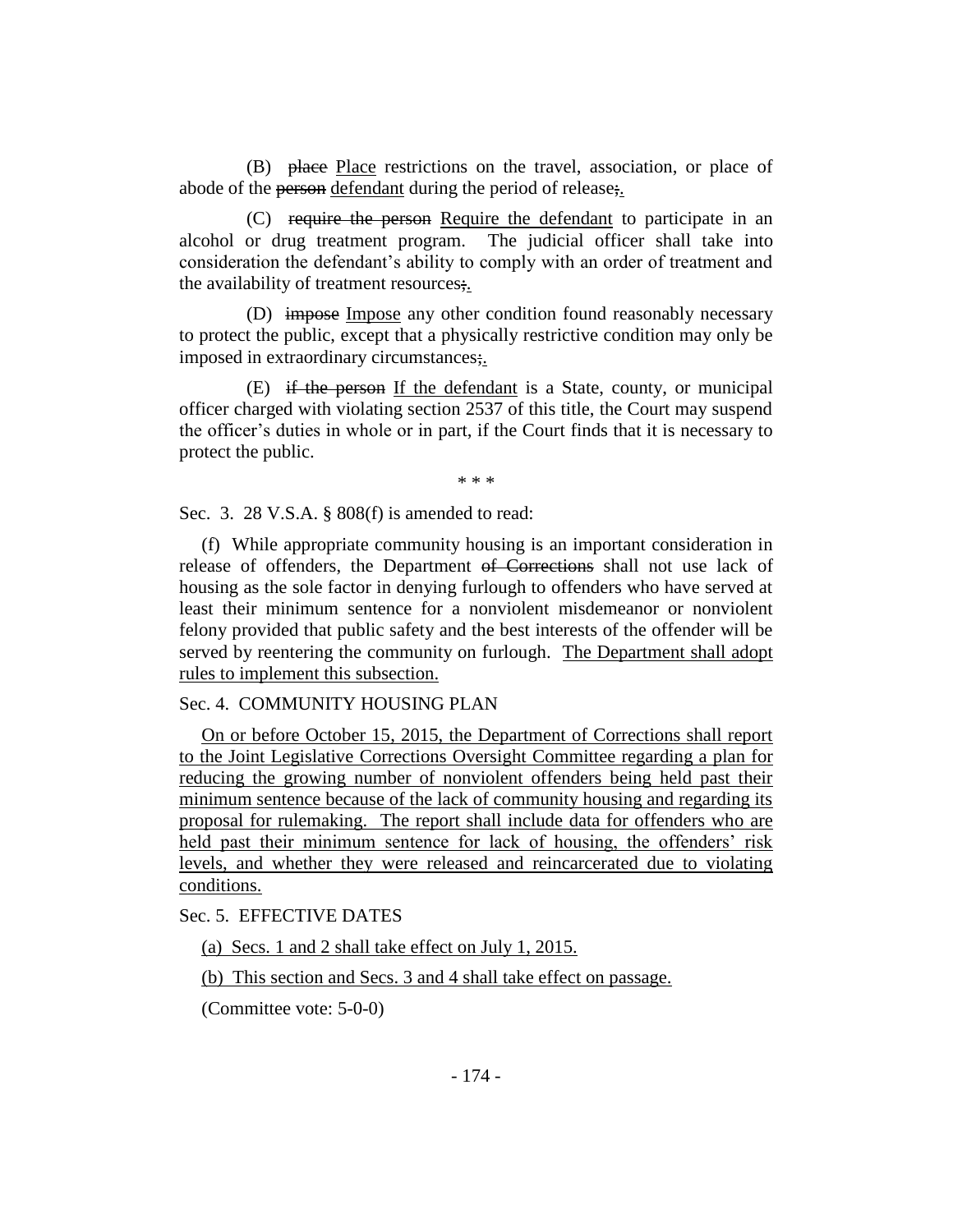(B) place Place restrictions on the travel, association, or place of abode of the person defendant during the period of release;.

(C) require the person Require the defendant to participate in an alcohol or drug treatment program. The judicial officer shall take into consideration the defendant's ability to comply with an order of treatment and the availability of treatment resources;.

(D) impose Impose any other condition found reasonably necessary to protect the public, except that a physically restrictive condition may only be imposed in extraordinary circumstances;.

(E) if the person If the defendant is a State, county, or municipal officer charged with violating section 2537 of this title, the Court may suspend the officer's duties in whole or in part, if the Court finds that it is necessary to protect the public.

\* \* \*

Sec. 3. 28 V.S.A. § 808(f) is amended to read:

(f) While appropriate community housing is an important consideration in release of offenders, the Department of Corrections shall not use lack of housing as the sole factor in denying furlough to offenders who have served at least their minimum sentence for a nonviolent misdemeanor or nonviolent felony provided that public safety and the best interests of the offender will be served by reentering the community on furlough. The Department shall adopt rules to implement this subsection.

# Sec. 4. COMMUNITY HOUSING PLAN

On or before October 15, 2015, the Department of Corrections shall report to the Joint Legislative Corrections Oversight Committee regarding a plan for reducing the growing number of nonviolent offenders being held past their minimum sentence because of the lack of community housing and regarding its proposal for rulemaking. The report shall include data for offenders who are held past their minimum sentence for lack of housing, the offenders' risk levels, and whether they were released and reincarcerated due to violating conditions.

Sec. 5. EFFECTIVE DATES

(a) Secs. 1 and 2 shall take effect on July 1, 2015.

(b) This section and Secs. 3 and 4 shall take effect on passage.

(Committee vote: 5-0-0)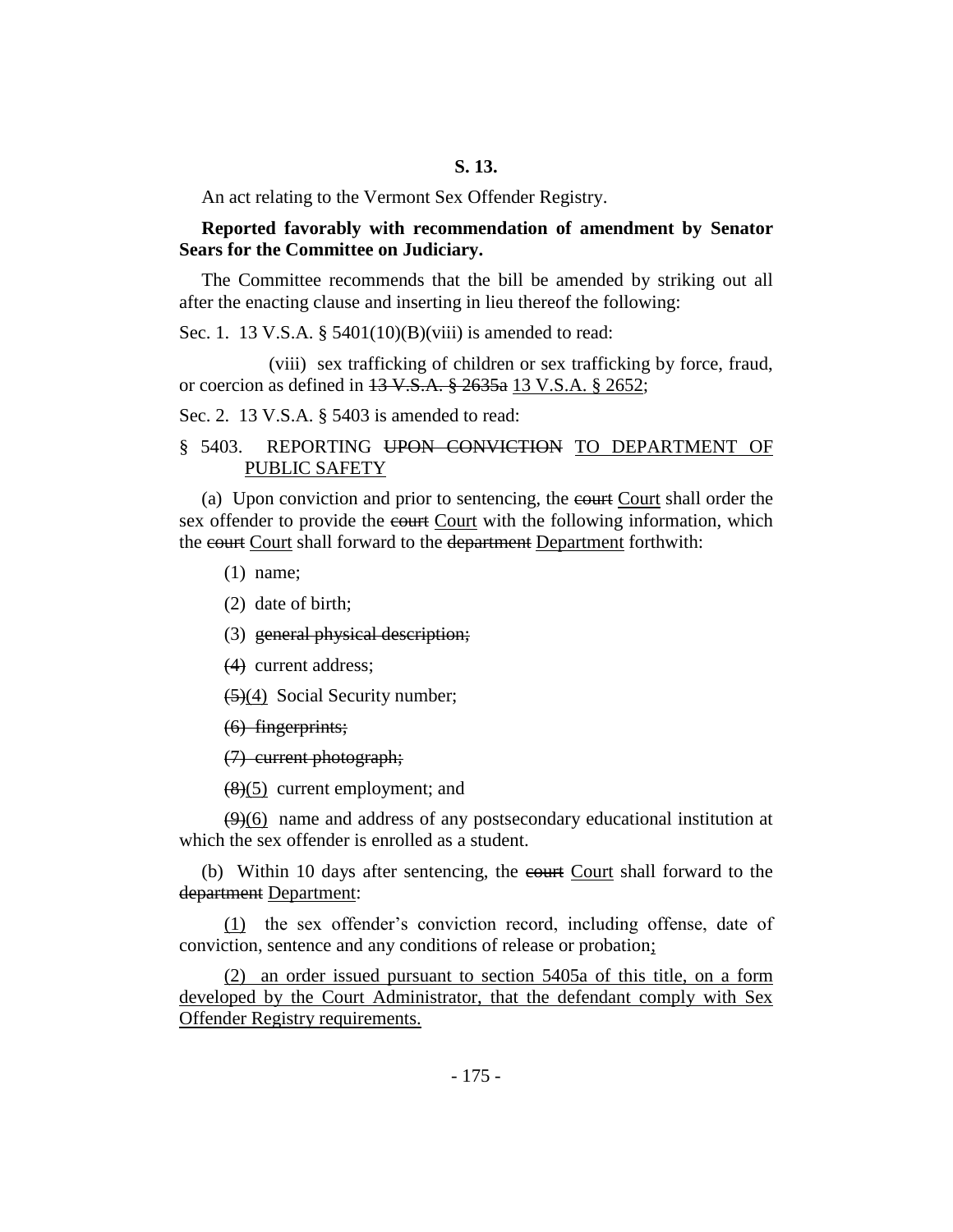An act relating to the Vermont Sex Offender Registry.

#### **Reported favorably with recommendation of amendment by Senator Sears for the Committee on Judiciary.**

The Committee recommends that the bill be amended by striking out all after the enacting clause and inserting in lieu thereof the following:

Sec. 1. 13 V.S.A. § 5401(10)(B)(viii) is amended to read:

(viii) sex trafficking of children or sex trafficking by force, fraud, or coercion as defined in 13 V.S.A. § 2635a 13 V.S.A. § 2652;

Sec. 2. 13 V.S.A. § 5403 is amended to read:

# § 5403. REPORTING UPON CONVICTION TO DEPARTMENT OF PUBLIC SAFETY

(a) Upon conviction and prior to sentencing, the court Court shall order the sex offender to provide the court Court with the following information, which the court Court shall forward to the department Department forthwith:

(1) name;

(2) date of birth;

(3) general physical description;

(4) current address;

(5)(4) Social Security number;

(6) fingerprints;

(7) current photograph;

 $(8)(5)$  current employment; and

 $(9)(6)$  name and address of any postsecondary educational institution at which the sex offender is enrolled as a student.

(b) Within 10 days after sentencing, the court Court shall forward to the department Department:

(1) the sex offender's conviction record, including offense, date of conviction, sentence and any conditions of release or probation;

(2) an order issued pursuant to section 5405a of this title, on a form developed by the Court Administrator, that the defendant comply with Sex Offender Registry requirements.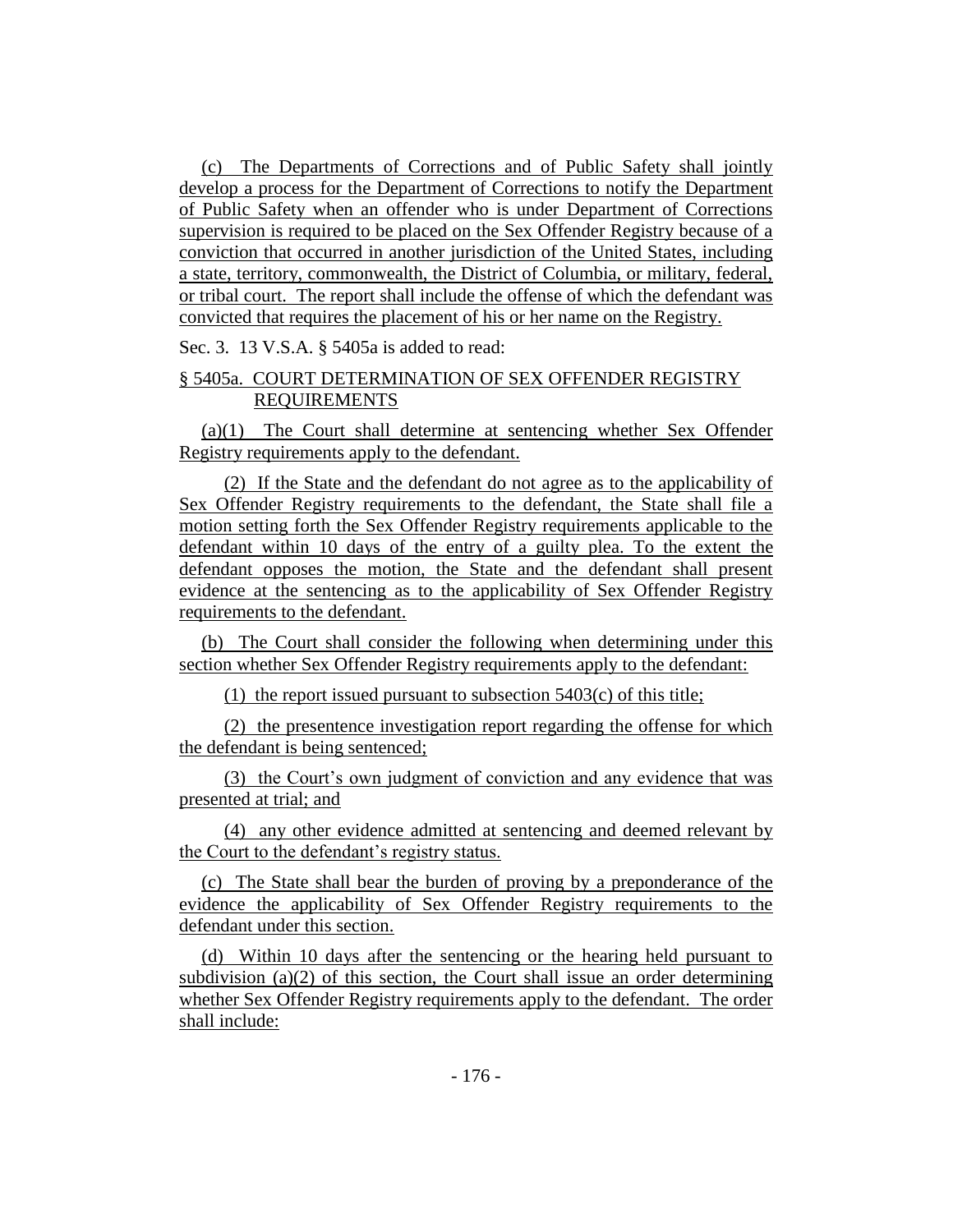(c) The Departments of Corrections and of Public Safety shall jointly develop a process for the Department of Corrections to notify the Department of Public Safety when an offender who is under Department of Corrections supervision is required to be placed on the Sex Offender Registry because of a conviction that occurred in another jurisdiction of the United States, including a state, territory, commonwealth, the District of Columbia, or military, federal, or tribal court. The report shall include the offense of which the defendant was convicted that requires the placement of his or her name on the Registry.

Sec. 3. 13 V.S.A. § 5405a is added to read:

# § 5405a. COURT DETERMINATION OF SEX OFFENDER REGISTRY REQUIREMENTS

(a)(1) The Court shall determine at sentencing whether Sex Offender Registry requirements apply to the defendant.

(2) If the State and the defendant do not agree as to the applicability of Sex Offender Registry requirements to the defendant, the State shall file a motion setting forth the Sex Offender Registry requirements applicable to the defendant within 10 days of the entry of a guilty plea. To the extent the defendant opposes the motion, the State and the defendant shall present evidence at the sentencing as to the applicability of Sex Offender Registry requirements to the defendant.

(b) The Court shall consider the following when determining under this section whether Sex Offender Registry requirements apply to the defendant:

(1) the report issued pursuant to subsection 5403(c) of this title;

(2) the presentence investigation report regarding the offense for which the defendant is being sentenced;

(3) the Court's own judgment of conviction and any evidence that was presented at trial; and

(4) any other evidence admitted at sentencing and deemed relevant by the Court to the defendant's registry status.

(c) The State shall bear the burden of proving by a preponderance of the evidence the applicability of Sex Offender Registry requirements to the defendant under this section.

(d) Within 10 days after the sentencing or the hearing held pursuant to subdivision (a)(2) of this section, the Court shall issue an order determining whether Sex Offender Registry requirements apply to the defendant. The order shall include: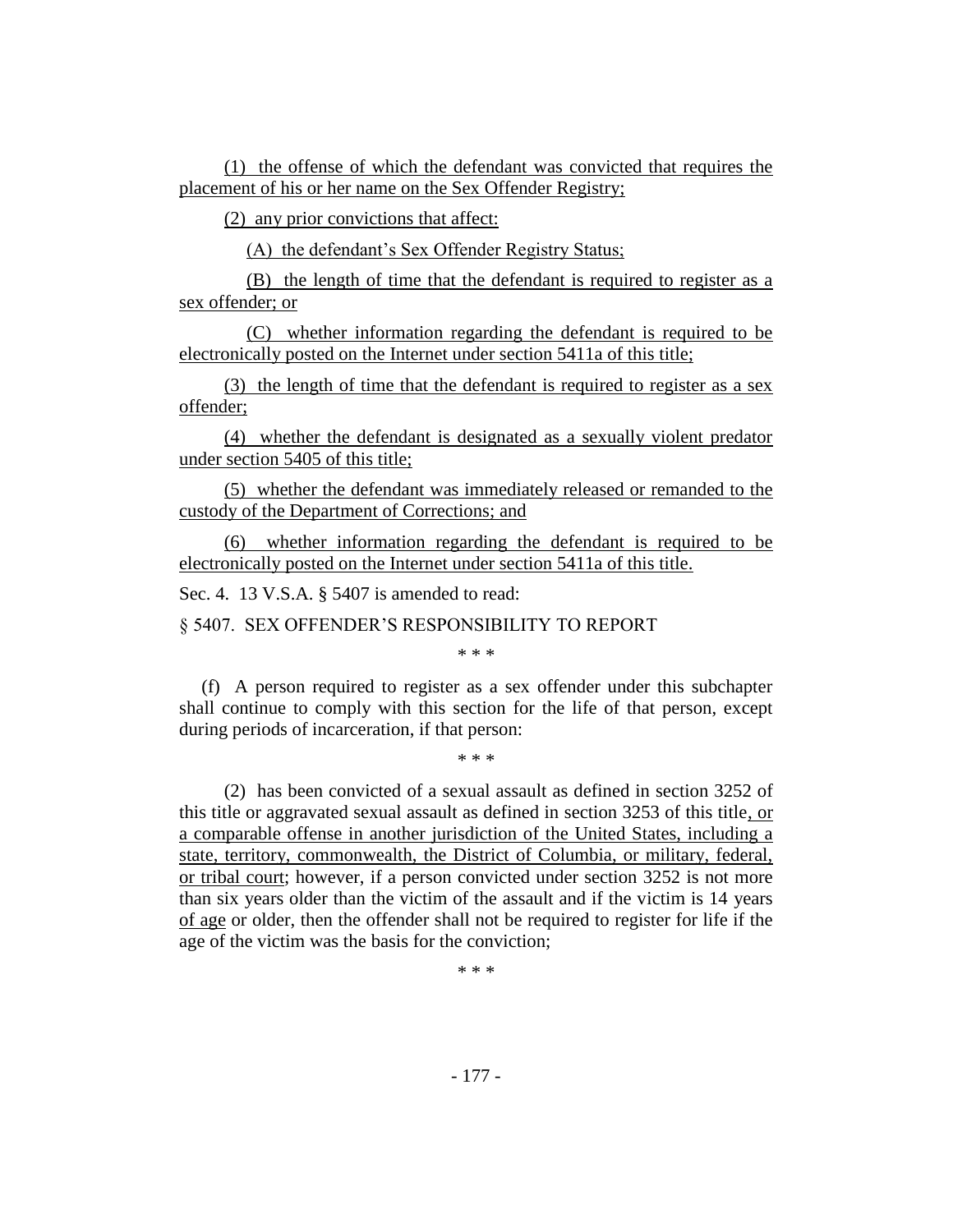(1) the offense of which the defendant was convicted that requires the placement of his or her name on the Sex Offender Registry;

(2) any prior convictions that affect:

(A) the defendant's Sex Offender Registry Status;

(B) the length of time that the defendant is required to register as a sex offender; or

(C) whether information regarding the defendant is required to be electronically posted on the Internet under section 5411a of this title;

(3) the length of time that the defendant is required to register as a sex offender;

(4) whether the defendant is designated as a sexually violent predator under section 5405 of this title;

(5) whether the defendant was immediately released or remanded to the custody of the Department of Corrections; and

(6) whether information regarding the defendant is required to be electronically posted on the Internet under section 5411a of this title.

Sec. 4. 13 V.S.A. § 5407 is amended to read:

§ 5407. SEX OFFENDER'S RESPONSIBILITY TO REPORT

\* \* \*

(f) A person required to register as a sex offender under this subchapter shall continue to comply with this section for the life of that person, except during periods of incarceration, if that person:

\* \* \*

(2) has been convicted of a sexual assault as defined in section 3252 of this title or aggravated sexual assault as defined in section 3253 of this title, or a comparable offense in another jurisdiction of the United States, including a state, territory, commonwealth, the District of Columbia, or military, federal, or tribal court; however, if a person convicted under section 3252 is not more than six years older than the victim of the assault and if the victim is 14 years of age or older, then the offender shall not be required to register for life if the age of the victim was the basis for the conviction;

\* \* \*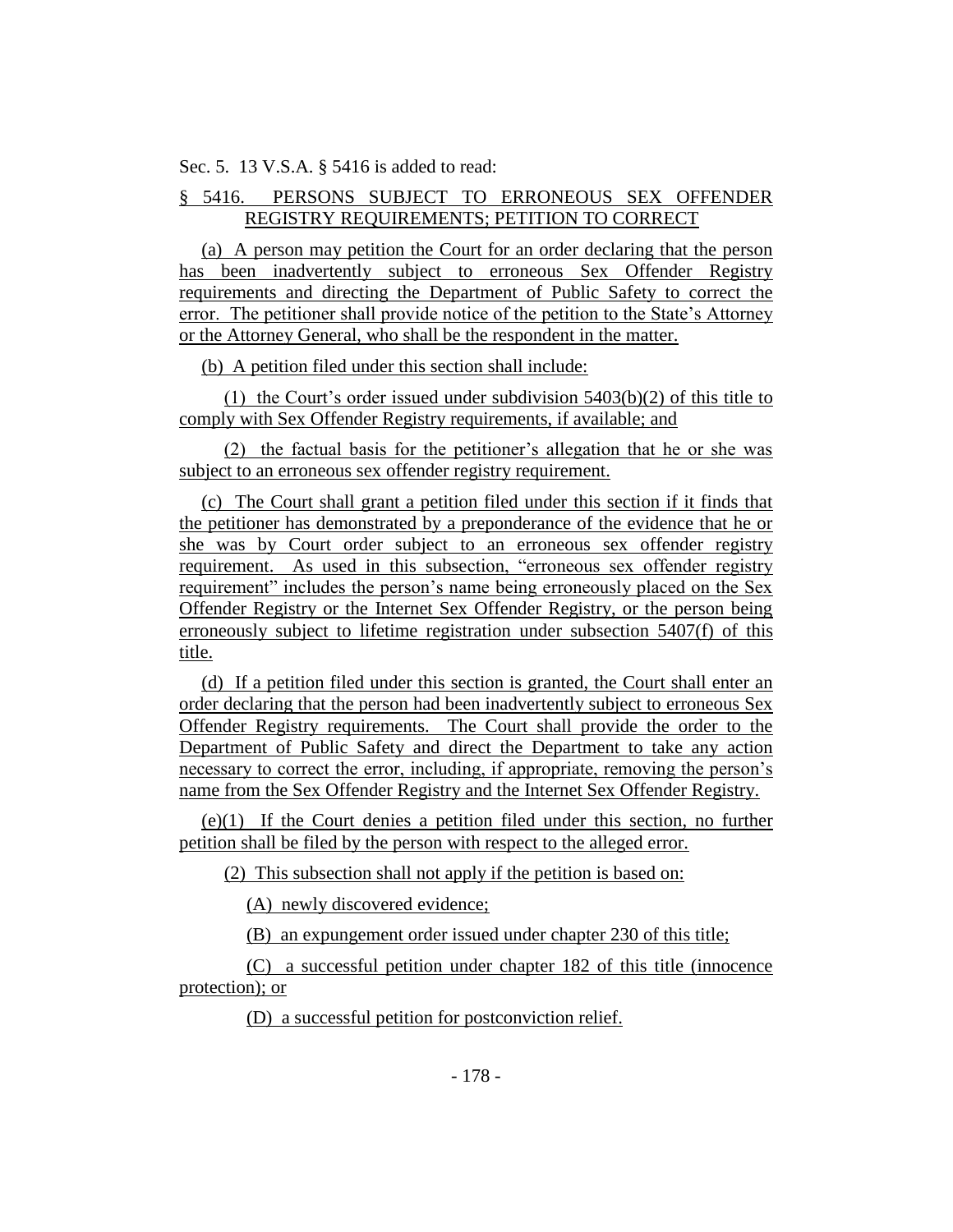Sec. 5. 13 V.S.A. § 5416 is added to read:

# § 5416. PERSONS SUBJECT TO ERRONEOUS SEX OFFENDER REGISTRY REQUIREMENTS; PETITION TO CORRECT

(a) A person may petition the Court for an order declaring that the person has been inadvertently subject to erroneous Sex Offender Registry requirements and directing the Department of Public Safety to correct the error. The petitioner shall provide notice of the petition to the State's Attorney or the Attorney General, who shall be the respondent in the matter.

(b) A petition filed under this section shall include:

(1) the Court's order issued under subdivision 5403(b)(2) of this title to comply with Sex Offender Registry requirements, if available; and

(2) the factual basis for the petitioner's allegation that he or she was subject to an erroneous sex offender registry requirement.

(c) The Court shall grant a petition filed under this section if it finds that the petitioner has demonstrated by a preponderance of the evidence that he or she was by Court order subject to an erroneous sex offender registry requirement. As used in this subsection, "erroneous sex offender registry requirement" includes the person's name being erroneously placed on the Sex Offender Registry or the Internet Sex Offender Registry, or the person being erroneously subject to lifetime registration under subsection 5407(f) of this title.

(d) If a petition filed under this section is granted, the Court shall enter an order declaring that the person had been inadvertently subject to erroneous Sex Offender Registry requirements. The Court shall provide the order to the Department of Public Safety and direct the Department to take any action necessary to correct the error, including, if appropriate, removing the person's name from the Sex Offender Registry and the Internet Sex Offender Registry.

(e)(1) If the Court denies a petition filed under this section, no further petition shall be filed by the person with respect to the alleged error.

(2) This subsection shall not apply if the petition is based on:

(A) newly discovered evidence;

(B) an expungement order issued under chapter 230 of this title;

(C) a successful petition under chapter 182 of this title (innocence protection); or

(D) a successful petition for postconviction relief.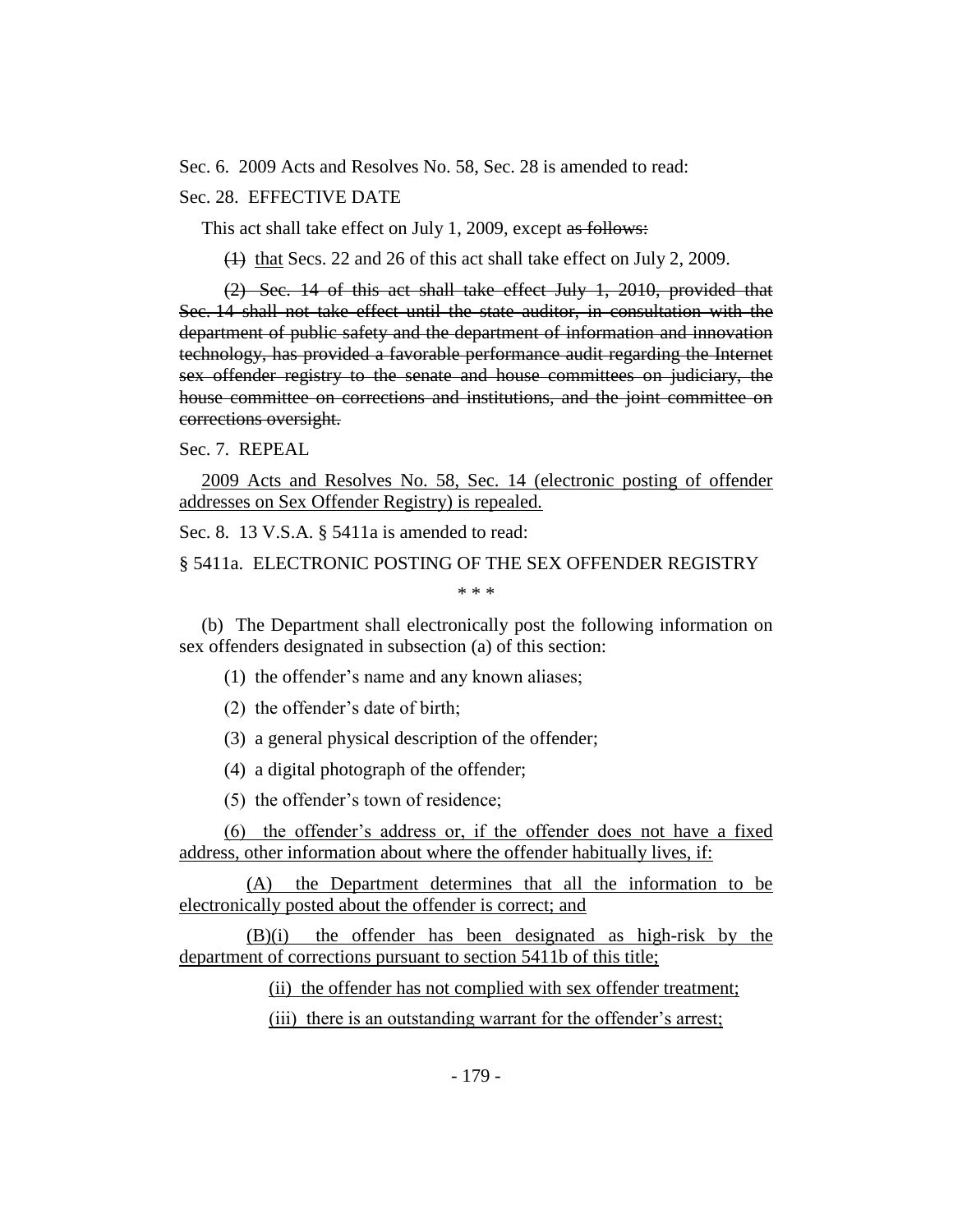Sec. 6. 2009 Acts and Resolves No. 58, Sec. 28 is amended to read:

# Sec. 28. EFFECTIVE DATE

This act shall take effect on July 1, 2009, except as follows:

(1) that Secs. 22 and 26 of this act shall take effect on July 2, 2009.

(2) Sec. 14 of this act shall take effect July 1, 2010, provided that Sec. 14 shall not take effect until the state auditor, in consultation with the department of public safety and the department of information and innovation technology, has provided a favorable performance audit regarding the Internet sex offender registry to the senate and house committees on judiciary, the house committee on corrections and institutions, and the joint committee on corrections oversight.

Sec. 7. REPEAL

2009 Acts and Resolves No. 58, Sec. 14 (electronic posting of offender addresses on Sex Offender Registry) is repealed.

Sec. 8. 13 V.S.A. § 5411a is amended to read:

§ 5411a. ELECTRONIC POSTING OF THE SEX OFFENDER REGISTRY

\* \* \*

(b) The Department shall electronically post the following information on sex offenders designated in subsection (a) of this section:

(1) the offender's name and any known aliases;

(2) the offender's date of birth;

(3) a general physical description of the offender;

(4) a digital photograph of the offender;

(5) the offender's town of residence;

(6) the offender's address or, if the offender does not have a fixed address, other information about where the offender habitually lives, if:

(A) the Department determines that all the information to be electronically posted about the offender is correct; and

(B)(i) the offender has been designated as high-risk by the department of corrections pursuant to section 5411b of this title;

(ii) the offender has not complied with sex offender treatment;

(iii) there is an outstanding warrant for the offender's arrest;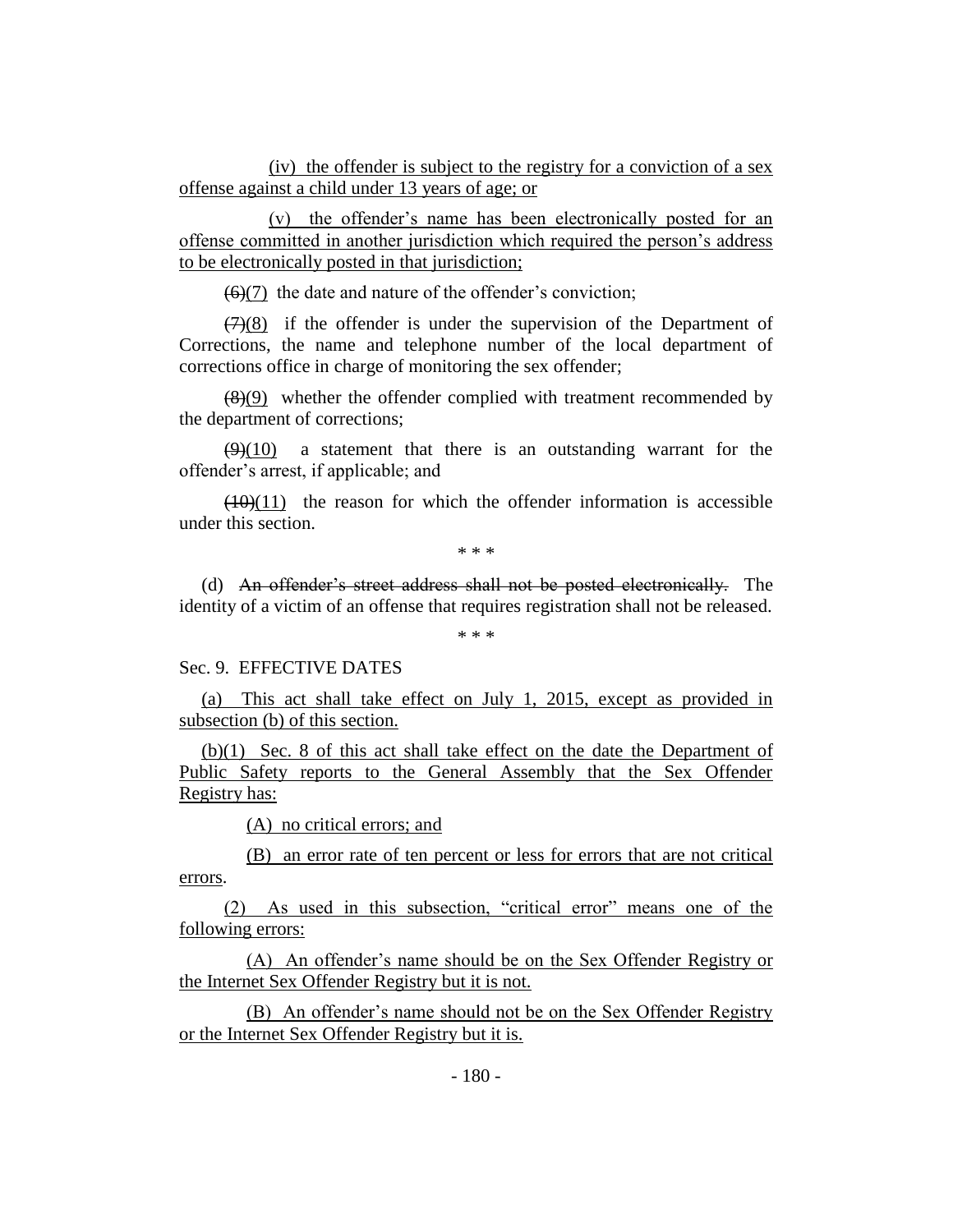(iv) the offender is subject to the registry for a conviction of a sex offense against a child under 13 years of age; or

(v) the offender's name has been electronically posted for an offense committed in another jurisdiction which required the person's address to be electronically posted in that jurisdiction;

 $(6)(7)$  the date and nature of the offender's conviction;

 $(7)(8)$  if the offender is under the supervision of the Department of Corrections, the name and telephone number of the local department of corrections office in charge of monitoring the sex offender;

 $(8)(9)$  whether the offender complied with treatment recommended by the department of corrections;

 $(9)(10)$  a statement that there is an outstanding warrant for the offender's arrest, if applicable; and

 $(10)(11)$  the reason for which the offender information is accessible under this section.

\* \* \*

(d) An offender's street address shall not be posted electronically. The identity of a victim of an offense that requires registration shall not be released.

\* \* \*

#### Sec. 9. EFFECTIVE DATES

(a) This act shall take effect on July 1, 2015, except as provided in subsection (b) of this section.

(b)(1) Sec. 8 of this act shall take effect on the date the Department of Public Safety reports to the General Assembly that the Sex Offender Registry has:

(A) no critical errors; and

(B) an error rate of ten percent or less for errors that are not critical errors.

(2) As used in this subsection, "critical error" means one of the following errors:

(A) An offender's name should be on the Sex Offender Registry or the Internet Sex Offender Registry but it is not.

(B) An offender's name should not be on the Sex Offender Registry or the Internet Sex Offender Registry but it is.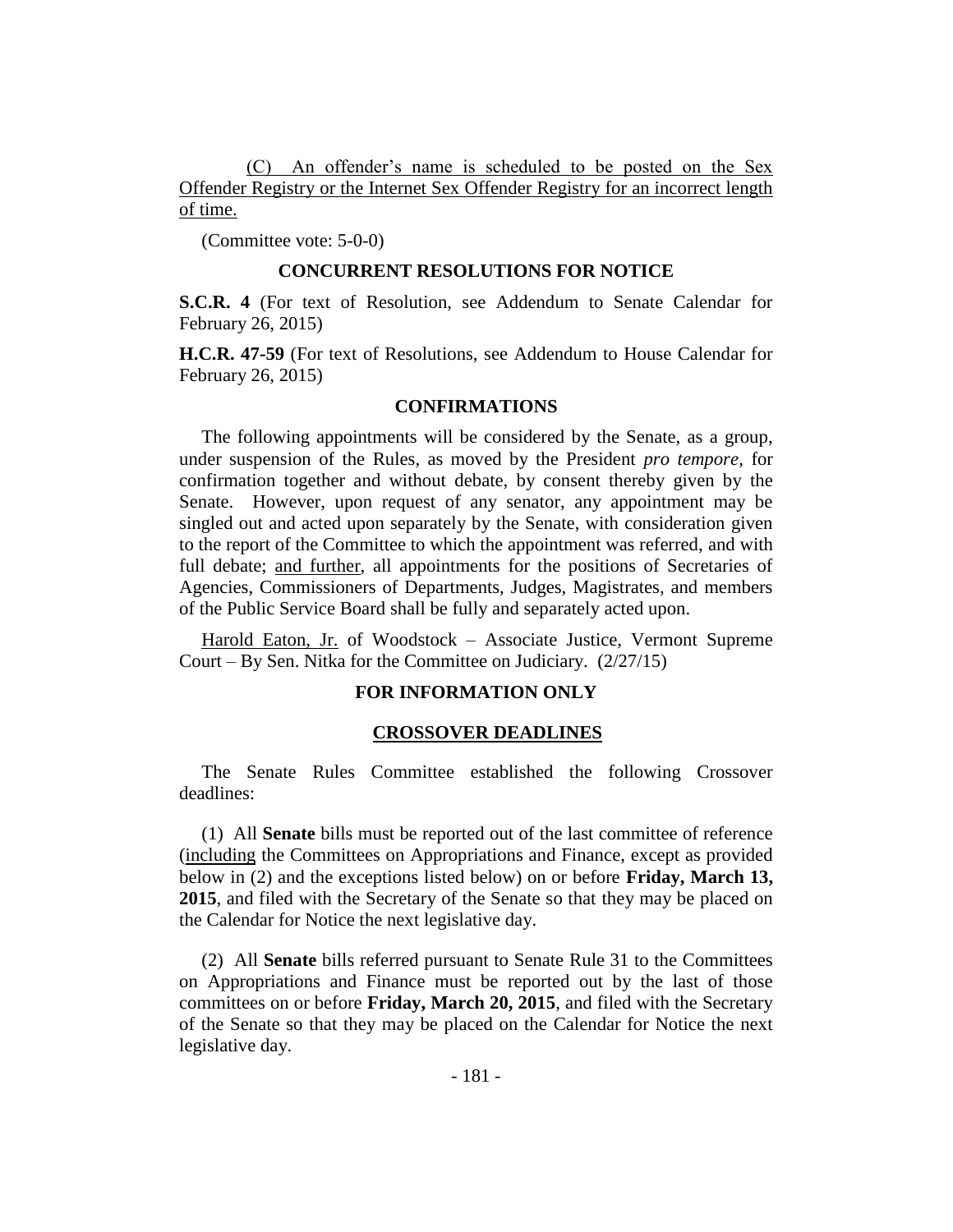(C) An offender's name is scheduled to be posted on the Sex Offender Registry or the Internet Sex Offender Registry for an incorrect length of time.

(Committee vote: 5-0-0)

#### **CONCURRENT RESOLUTIONS FOR NOTICE**

**S.C.R. 4** (For text of Resolution, see Addendum to Senate Calendar for February 26, 2015)

**H.C.R. 47-59** (For text of Resolutions, see Addendum to House Calendar for February 26, 2015)

#### **CONFIRMATIONS**

The following appointments will be considered by the Senate, as a group, under suspension of the Rules, as moved by the President *pro tempore,* for confirmation together and without debate, by consent thereby given by the Senate. However, upon request of any senator, any appointment may be singled out and acted upon separately by the Senate, with consideration given to the report of the Committee to which the appointment was referred, and with full debate; and further, all appointments for the positions of Secretaries of Agencies, Commissioners of Departments, Judges, Magistrates, and members of the Public Service Board shall be fully and separately acted upon.

Harold Eaton, Jr. of Woodstock - Associate Justice, Vermont Supreme Court – By Sen. Nitka for the Committee on Judiciary. (2/27/15)

#### **FOR INFORMATION ONLY**

#### **CROSSOVER DEADLINES**

The Senate Rules Committee established the following Crossover deadlines:

(1) All **Senate** bills must be reported out of the last committee of reference (including the Committees on Appropriations and Finance, except as provided below in (2) and the exceptions listed below) on or before **Friday, March 13, 2015**, and filed with the Secretary of the Senate so that they may be placed on the Calendar for Notice the next legislative day.

(2) All **Senate** bills referred pursuant to Senate Rule 31 to the Committees on Appropriations and Finance must be reported out by the last of those committees on or before **Friday, March 20, 2015**, and filed with the Secretary of the Senate so that they may be placed on the Calendar for Notice the next legislative day.